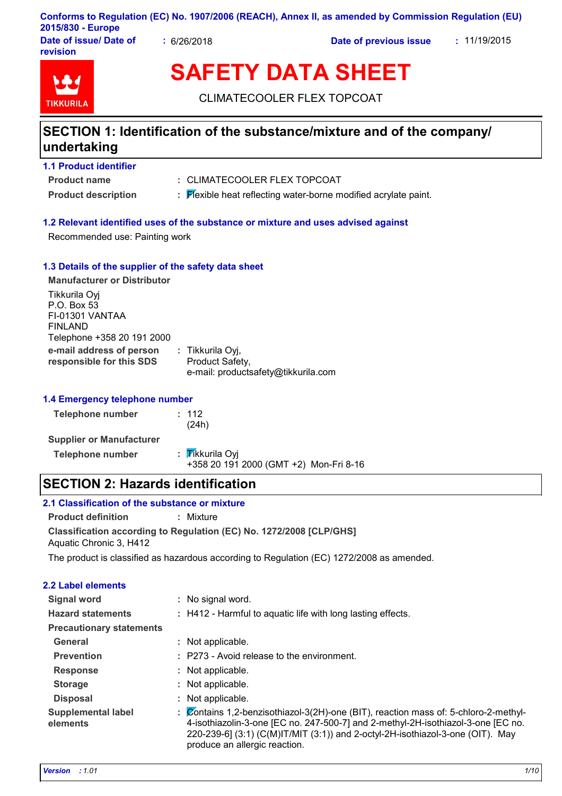### **Conforms to Regulation (EC) No. 1907/2006 (REACH), Annex II, as amended by Commission Regulation (EU) 2015/830 - Europe**

**Date of issue/ Date of revision**

**:** 6/26/2018 **Date of previous issue :** 11/19/2015



# **SAFETY DATA SHEET**

CLIMATECOOLER FLEX TOPCOAT

### **SECTION 1: Identification of the substance/mixture and of the company/ undertaking**

### **1.1 Product identifier**

**Product name**

- CLIMATECOOLER FLEX TOPCOAT **:**
- **Product description <b>:** Flexible heat reflecting water-borne modified acrylate paint.

### **1.2 Relevant identified uses of the substance or mixture and uses advised against**

Recommended use: Painting work

### **1.3 Details of the supplier of the safety data sheet**

| <b>Manufacturer or Distributor</b>                                                       |                                                                            |
|------------------------------------------------------------------------------------------|----------------------------------------------------------------------------|
| Tikkurila Oyj<br>P.O. Box 53<br>FI-01301 VANTAA<br>FINLAND<br>Telephone +358 20 191 2000 |                                                                            |
| e-mail address of person<br>responsible for this SDS                                     | : Tikkurila Oyj,<br>Product Safety,<br>e-mail: productsafety@tikkurila.com |

### **1.4 Emergency telephone number**

| <b>Telephone number</b>         | : 112<br>(24h)                                            |
|---------------------------------|-----------------------------------------------------------|
| <b>Supplier or Manufacturer</b> |                                                           |
| <b>Telephone number</b>         | : Tikkurila Oyi<br>+358 20 191 2000 (GMT +2) Mon-Fri 8-16 |

### **SECTION 2: Hazards identification**

### **2.1 Classification of the substance or mixture**

**Product definition :** Mixture

**Classification according to Regulation (EC) No. 1272/2008 [CLP/GHS]** Aquatic Chronic 3, H412

The product is classified as hazardous according to Regulation (EC) 1272/2008 as amended.

### **2.2 Label elements**

| <b>Signal word</b>                    | : No signal word.                                                                                                                                                                                                                                                                             |
|---------------------------------------|-----------------------------------------------------------------------------------------------------------------------------------------------------------------------------------------------------------------------------------------------------------------------------------------------|
| <b>Hazard statements</b>              | : H412 - Harmful to aquatic life with long lasting effects.                                                                                                                                                                                                                                   |
| <b>Precautionary statements</b>       |                                                                                                                                                                                                                                                                                               |
| General                               | : Not applicable.                                                                                                                                                                                                                                                                             |
| <b>Prevention</b>                     | : P273 - Avoid release to the environment.                                                                                                                                                                                                                                                    |
| <b>Response</b>                       | : Not applicable.                                                                                                                                                                                                                                                                             |
| <b>Storage</b>                        | : Not applicable.                                                                                                                                                                                                                                                                             |
| <b>Disposal</b>                       | : Not applicable.                                                                                                                                                                                                                                                                             |
| <b>Supplemental label</b><br>elements | : Contains 1,2-benzisothiazol-3(2H)-one (BIT), reaction mass of: 5-chloro-2-methyl-<br>4-isothiazolin-3-one [EC no. 247-500-7] and 2-methyl-2H-isothiazol-3-one [EC no.<br>220-239-6] $(3:1)$ (C(M)IT/MIT $(3:1)$ and 2-octyl-2H-isothiazol-3-one (OIT). May<br>produce an allergic reaction. |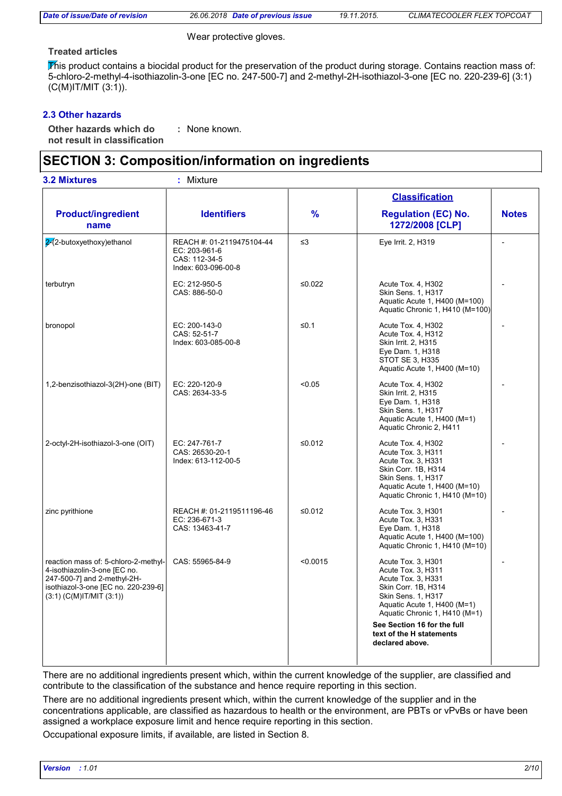| Date of issue/Date of revision |
|--------------------------------|
|--------------------------------|

*Date of issue/Date of revision 26.06.2018 Date of previous issue 19.11.2015. CLIMATECOOLER FLEX TOPCOAT*

Wear protective gloves.

### **Treated articles**

This product contains a biocidal product for the preservation of the product during storage. Contains reaction mass of: 5-chloro-2-methyl-4-isothiazolin-3-one [EC no. 247-500-7] and 2-methyl-2H-isothiazol-3-one [EC no. 220-239-6] (3:1) (C(M)IT/MIT (3:1)).

### **2.3 Other hazards**

**Other hazards which do : not result in classification** : None known.

### **SECTION 3: Composition/information on ingredients**

| : Mixture                                                                          |               |                                                                                                                                                                                                            |                                             |
|------------------------------------------------------------------------------------|---------------|------------------------------------------------------------------------------------------------------------------------------------------------------------------------------------------------------------|---------------------------------------------|
|                                                                                    |               | <b>Classification</b>                                                                                                                                                                                      |                                             |
| <b>Identifiers</b>                                                                 | $\frac{9}{6}$ | <b>Regulation (EC) No.</b><br>1272/2008 [CLP]                                                                                                                                                              | <b>Notes</b>                                |
| REACH #: 01-2119475104-44<br>EC: 203-961-6<br>CAS: 112-34-5<br>Index: 603-096-00-8 | $\leq$ 3      | Eye Irrit. 2, H319                                                                                                                                                                                         |                                             |
| EC: 212-950-5<br>CAS: 886-50-0                                                     | ≤0.022        | Acute Tox. 4, H302<br>Skin Sens. 1, H317<br>Aquatic Acute 1, H400 (M=100)<br>Aquatic Chronic 1, H410 (M=100)                                                                                               |                                             |
| EC: 200-143-0<br>CAS: 52-51-7<br>Index: 603-085-00-8                               | $≤0.1$        | Acute Tox. 4, H302<br>Acute Tox. 4, H312<br>Skin Irrit. 2, H315<br>Eye Dam. 1, H318<br>STOT SE 3, H335<br>Aquatic Acute 1, H400 (M=10)                                                                     |                                             |
| EC: 220-120-9<br>CAS: 2634-33-5                                                    | < 0.05        | Acute Tox. 4, H302<br>Skin Irrit. 2, H315<br>Eye Dam. 1, H318<br>Skin Sens. 1, H317<br>Aquatic Acute 1, H400 (M=1)<br>Aquatic Chronic 2, H411                                                              |                                             |
| EC: 247-761-7<br>CAS: 26530-20-1<br>Index: 613-112-00-5                            | ≤0.012        | Acute Tox. 4, H302<br>Acute Tox. 3, H311<br>Acute Tox. 3, H331<br>Skin Corr. 1B, H314<br><b>Skin Sens. 1, H317</b><br>Aquatic Acute 1, H400 (M=10)<br>Aquatic Chronic 1, H410 (M=10)                       |                                             |
| REACH #: 01-2119511196-46<br>EC: 236-671-3<br>CAS: 13463-41-7                      | ≤ $0.012$     | Acute Tox. 3, H301<br>Acute Tox. 3, H331<br>Eye Dam. 1, H318<br>Aquatic Acute 1, H400 (M=100)<br>Aquatic Chronic 1, H410 (M=10)                                                                            |                                             |
| CAS: 55965-84-9                                                                    | < 0.0015      | Acute Tox. 3, H301<br>Acute Tox. 3, H311<br>Acute Tox. 3, H331<br>Skin Corr. 1B, H314<br>Skin Sens. 1, H317<br>Aquatic Acute 1, H400 (M=1)<br>Aquatic Chronic 1, H410 (M=1)<br>See Section 16 for the full |                                             |
|                                                                                    |               |                                                                                                                                                                                                            | text of the H statements<br>declared above. |

There are no additional ingredients present which, within the current knowledge of the supplier, are classified and contribute to the classification of the substance and hence require reporting in this section.

There are no additional ingredients present which, within the current knowledge of the supplier and in the concentrations applicable, are classified as hazardous to health or the environment, are PBTs or vPvBs or have been assigned a workplace exposure limit and hence require reporting in this section.

Occupational exposure limits, if available, are listed in Section 8.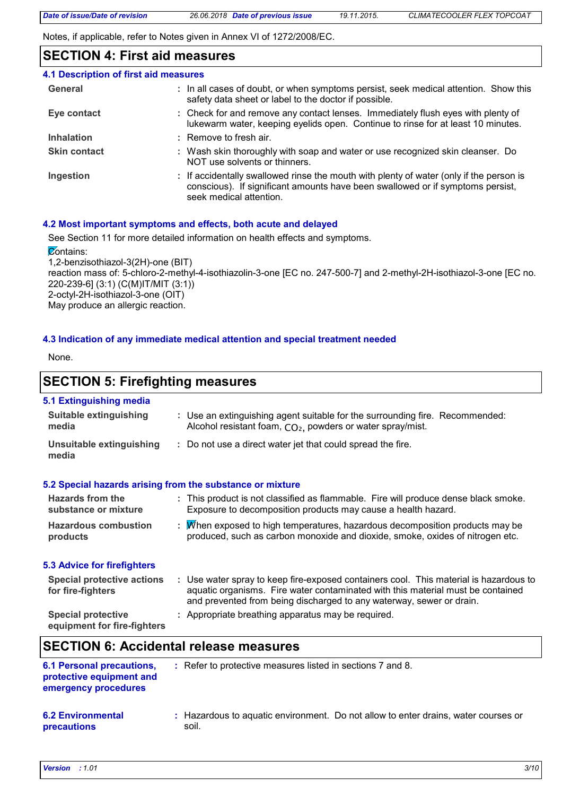Notes, if applicable, refer to Notes given in Annex VI of 1272/2008/EC.

### **SECTION 4: First aid measures**

| 4.1 Description of first aid measures |                                                                                                                                                                                                      |
|---------------------------------------|------------------------------------------------------------------------------------------------------------------------------------------------------------------------------------------------------|
| General                               | : In all cases of doubt, or when symptoms persist, seek medical attention. Show this<br>safety data sheet or label to the doctor if possible.                                                        |
| Eye contact                           | : Check for and remove any contact lenses. Immediately flush eyes with plenty of<br>lukewarm water, keeping eyelids open. Continue to rinse for at least 10 minutes.                                 |
| <b>Inhalation</b>                     | $:$ Remove to fresh air.                                                                                                                                                                             |
| <b>Skin contact</b>                   | : Wash skin thoroughly with soap and water or use recognized skin cleanser. Do<br>NOT use solvents or thinners.                                                                                      |
| Ingestion                             | : If accidentally swallowed rinse the mouth with plenty of water (only if the person is<br>conscious). If significant amounts have been swallowed or if symptoms persist,<br>seek medical attention. |

### **4.2 Most important symptoms and effects, both acute and delayed**

See Section 11 for more detailed information on health effects and symptoms.

**Contains:** 

1,2-benzisothiazol-3(2H)-one (BIT) reaction mass of: 5-chloro-2-methyl-4-isothiazolin-3-one [EC no. 247-500-7] and 2-methyl-2H-isothiazol-3-one [EC no. 220-239-6] (3:1) (C(M)IT/MIT (3:1)) 2-octyl-2H-isothiazol-3-one (OIT) May produce an allergic reaction.

### **4.3 Indication of any immediate medical attention and special treatment needed**

None.

### **SECTION 5: Firefighting measures**

### **5.1 Extinguishing media**

| <b>Suitable extinguishing</b><br>media                                               | : Use an extinguishing agent suitable for the surrounding fire. Recommended:<br>Alcohol resistant foam, CO <sub>2</sub> , powders or water spray/mist.                                                                                           |
|--------------------------------------------------------------------------------------|--------------------------------------------------------------------------------------------------------------------------------------------------------------------------------------------------------------------------------------------------|
| <b>Unsuitable extinguishing</b><br>media                                             | : Do not use a direct water jet that could spread the fire.                                                                                                                                                                                      |
|                                                                                      | 5.2 Special hazards arising from the substance or mixture                                                                                                                                                                                        |
| <b>Hazards from the</b><br>substance or mixture                                      | : This product is not classified as flammable. Fire will produce dense black smoke.<br>Exposure to decomposition products may cause a health hazard.                                                                                             |
| <b>Hazardous combustion</b><br>products                                              | : Mhen exposed to high temperatures, hazardous decomposition products may be<br>produced, such as carbon monoxide and dioxide, smoke, oxides of nitrogen etc.                                                                                    |
| <b>5.3 Advice for firefighters</b>                                                   |                                                                                                                                                                                                                                                  |
| <b>Special protective actions</b><br>for fire-fighters                               | : Use water spray to keep fire-exposed containers cool. This material is hazardous to<br>aquatic organisms. Fire water contaminated with this material must be contained<br>and prevented from being discharged to any waterway, sewer or drain. |
| <b>Special protective</b><br>equipment for fire-fighters                             | : Appropriate breathing apparatus may be required.                                                                                                                                                                                               |
|                                                                                      | <b>SECTION 6: Accidental release measures</b>                                                                                                                                                                                                    |
| <b>6.1 Personal precautions,</b><br>protective equipment and<br>emergency procedures | : Refer to protective measures listed in sections 7 and 8.                                                                                                                                                                                       |
| <b>6.2 Environmental</b><br>precautions                                              | Hazardous to aquatic environment. Do not allow to enter drains, water courses or<br>soil.                                                                                                                                                        |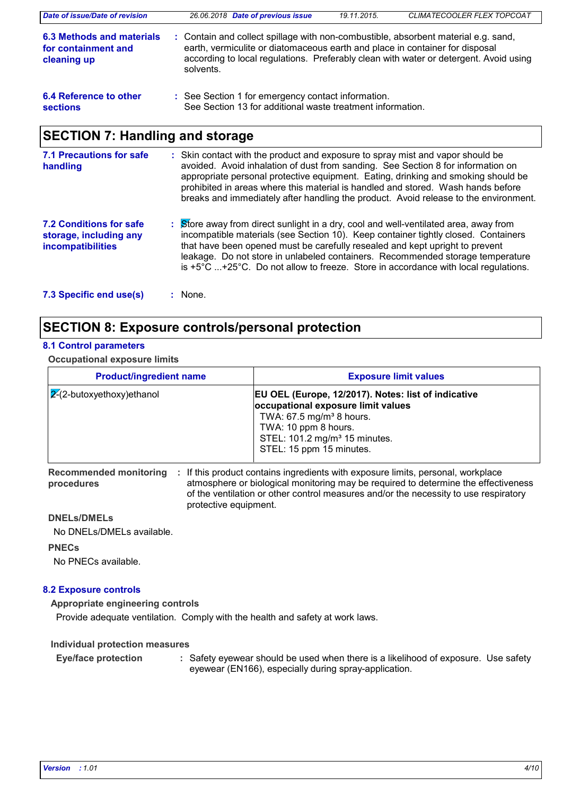| Date of issue/Date of revision                                  | 26.06.2018 Date of previous issue                                                                                                                                                                                                                                                                                                           | 19.11.2015. | CLIMATECOOLER FLEX TOPCOAT                                                            |
|-----------------------------------------------------------------|---------------------------------------------------------------------------------------------------------------------------------------------------------------------------------------------------------------------------------------------------------------------------------------------------------------------------------------------|-------------|---------------------------------------------------------------------------------------|
| 6.3 Methods and materials<br>for containment and<br>cleaning up | : Contain and collect spillage with non-combustible, absorbent material e.g. sand,<br>earth, vermiculite or diatomaceous earth and place in container for disposal<br>solvents.                                                                                                                                                             |             | according to local regulations. Preferably clean with water or detergent. Avoid using |
| 6.4 Reference to other<br>sections                              | : See Section 1 for emergency contact information.<br>See Section 13 for additional waste treatment information.                                                                                                                                                                                                                            |             |                                                                                       |
| <b>SECTION 7: Handling and storage</b>                          |                                                                                                                                                                                                                                                                                                                                             |             |                                                                                       |
| <b>7.1 Precautions for safe</b><br>handling                     | : Skin contact with the product and exposure to spray mist and vapor should be<br>avoided. Avoid inhalation of dust from sanding. See Section 8 for information on<br>appropriate personal protective equipment. Eating, drinking and smoking should be<br>prohibited in areas where this material is handled and stored. Wash hands before |             |                                                                                       |

- Store away from direct sunlight in a dry, cool and well-ventilated area, away from **:** incompatible materials (see Section 10). Keep container tightly closed. Containers that have been opened must be carefully resealed and kept upright to prevent leakage. Do not store in unlabeled containers. Recommended storage temperature is +5°C ...+25°C. Do not allow to freeze. Store in accordance with local regulations. **7.2 Conditions for safe storage, including any incompatibilities**
- **7.3 Specific end use(s) :**

### **SECTION 8: Exposure controls/personal protection**

### **8.1 Control parameters**

#### **Occupational exposure limits**

| <b>Product/ingredient name</b> | <b>Exposure limit values</b>                                                                                                                                                                                                         |
|--------------------------------|--------------------------------------------------------------------------------------------------------------------------------------------------------------------------------------------------------------------------------------|
| $ 2(2-butoxyethoxy)$ ethanol   | EU OEL (Europe, 12/2017). Notes: list of indicative<br>occupational exposure limit values<br>TWA: $67.5$ mg/m <sup>3</sup> 8 hours.<br>TWA: 10 ppm 8 hours.<br>STEL: 101.2 mg/m <sup>3</sup> 15 minutes.<br>STEL: 15 ppm 15 minutes. |

**procedures**

Recommended monitoring : If this product contains ingredients with exposure limits, personal, workplace atmosphere or biological monitoring may be required to determine the effectiveness of the ventilation or other control measures and/or the necessity to use respiratory protective equipment.

breaks and immediately after handling the product. Avoid release to the environment.

#### **DNELs/DMELs**

No DNELs/DMELs available.

#### **PNECs**

No PNECs available.

### **8.2 Exposure controls**

**Appropriate engineering controls**

Provide adequate ventilation. Comply with the health and safety at work laws.

**Individual protection measures**

Safety eyewear should be used when there is a likelihood of exposure. Use safety eyewear (EN166), especially during spray-application. **Eye/face protection :**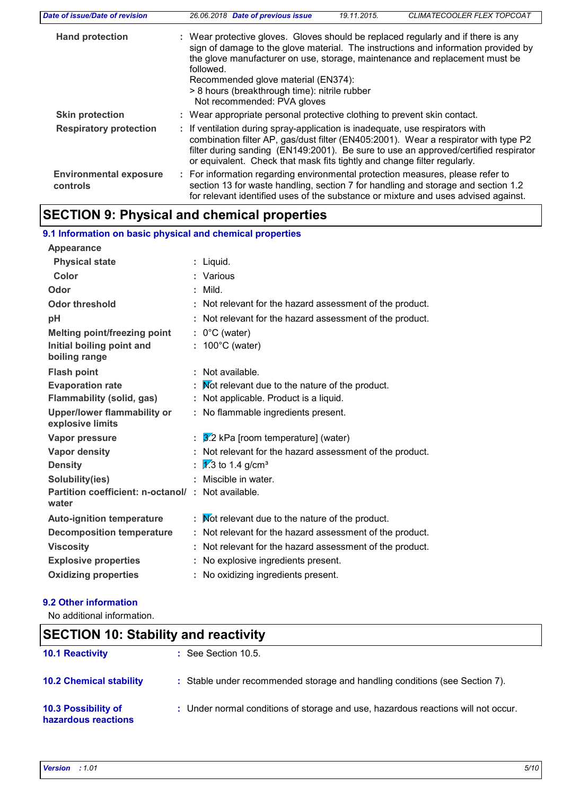| Date of issue/Date of revision            | CLIMATECOOLER FLEX TOPCOAT<br>26.06.2018 Date of previous issue<br>19.11.2015.                                                                                                                                                                                                                                                                                                             |
|-------------------------------------------|--------------------------------------------------------------------------------------------------------------------------------------------------------------------------------------------------------------------------------------------------------------------------------------------------------------------------------------------------------------------------------------------|
| <b>Hand protection</b>                    | : Wear protective gloves. Gloves should be replaced regularly and if there is any<br>sign of damage to the glove material. The instructions and information provided by<br>the glove manufacturer on use, storage, maintenance and replacement must be<br>followed.<br>Recommended glove material (EN374):<br>> 8 hours (breakthrough time): nitrile rubber<br>Not recommended: PVA gloves |
| <b>Skin protection</b>                    | : Wear appropriate personal protective clothing to prevent skin contact.                                                                                                                                                                                                                                                                                                                   |
| <b>Respiratory protection</b>             | : If ventilation during spray-application is inadequate, use respirators with<br>combination filter AP, gas/dust filter (EN405:2001). Wear a respirator with type P2<br>filter during sanding (EN149:2001). Be sure to use an approved/certified respirator<br>or equivalent. Check that mask fits tightly and change filter regularly.                                                    |
| <b>Environmental exposure</b><br>controls | : For information regarding environmental protection measures, please refer to<br>section 13 for waste handling, section 7 for handling and storage and section 1.2<br>for relevant identified uses of the substance or mixture and uses advised against.                                                                                                                                  |

## **SECTION 9: Physical and chemical properties**

| 9.1 Information on basic physical and chemical properties  |   |                                                        |
|------------------------------------------------------------|---|--------------------------------------------------------|
| Appearance                                                 |   |                                                        |
| <b>Physical state</b>                                      | ÷ | Liquid.                                                |
| Color                                                      |   | Various                                                |
| Odor                                                       |   | Mild.                                                  |
| <b>Odor threshold</b>                                      | t | Not relevant for the hazard assessment of the product. |
| рH                                                         |   | Not relevant for the hazard assessment of the product. |
| <b>Melting point/freezing point</b>                        |   | $: 0^{\circ}$ C (water)                                |
| Initial boiling point and                                  |   | 100°C (water)                                          |
| boiling range                                              |   |                                                        |
| <b>Flash point</b>                                         | ÷ | Not available.                                         |
| <b>Evaporation rate</b>                                    | t | Mot relevant due to the nature of the product.         |
| <b>Flammability (solid, gas)</b>                           | t | Not applicable. Product is a liquid.                   |
| <b>Upper/lower flammability or</b><br>explosive limits     |   | : No flammable ingredients present.                    |
| Vapor pressure                                             | t | 3.2 kPa [room temperature] (water)                     |
| <b>Vapor density</b>                                       |   | Not relevant for the hazard assessment of the product. |
| <b>Density</b>                                             | t | $\sqrt{1/3}$ to 1.4 g/cm <sup>3</sup>                  |
| Solubility(ies)                                            |   | Miscible in water.                                     |
| Partition coefficient: n-octanol/: Not available.<br>water |   |                                                        |
| <b>Auto-ignition temperature</b>                           | ÷ | Not relevant due to the nature of the product.         |
| <b>Decomposition temperature</b>                           |   | Not relevant for the hazard assessment of the product. |
| <b>Viscosity</b>                                           | t | Not relevant for the hazard assessment of the product. |
| <b>Explosive properties</b>                                | t | No explosive ingredients present.                      |
| <b>Oxidizing properties</b>                                |   | No oxidizing ingredients present.                      |
|                                                            |   |                                                        |

### **9.2 Other information**

No additional information.

| <b>SECTION 10: Stability and reactivity</b> |                                                                                   |  |
|---------------------------------------------|-----------------------------------------------------------------------------------|--|
| <b>10.1 Reactivity</b>                      | $\therefore$ See Section 10.5.                                                    |  |
| <b>10.2 Chemical stability</b>              | : Stable under recommended storage and handling conditions (see Section 7).       |  |
| 10.3 Possibility of<br>hazardous reactions  | : Under normal conditions of storage and use, hazardous reactions will not occur. |  |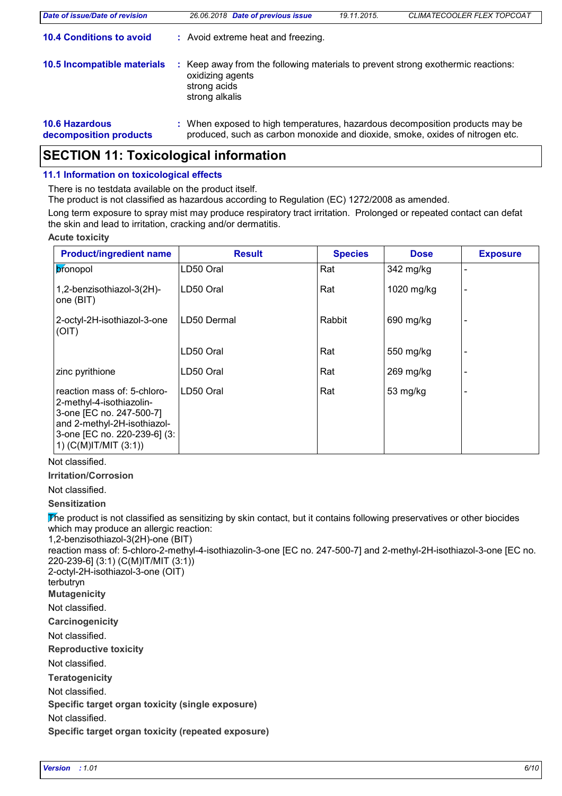| <b>Date of issue/Date of revision</b>           | 26.06.2018 Date of previous issue                                                                                                                             | 19.11.2015. | CLIMATECOOLER FLEX TOPCOAT |
|-------------------------------------------------|---------------------------------------------------------------------------------------------------------------------------------------------------------------|-------------|----------------------------|
| <b>10.4 Conditions to avoid</b>                 | : Avoid extreme heat and freezing.                                                                                                                            |             |                            |
| 10.5 Incompatible materials                     | Keep away from the following materials to prevent strong exothermic reactions:<br>oxidizing agents<br>strong acids<br>strong alkalis                          |             |                            |
| <b>10.6 Hazardous</b><br>decomposition products | : When exposed to high temperatures, hazardous decomposition products may be<br>produced, such as carbon monoxide and dioxide, smoke, oxides of nitrogen etc. |             |                            |

### **SECTION 11: Toxicological information**

### **11.1 Information on toxicological effects**

There is no testdata available on the product itself.

The product is not classified as hazardous according to Regulation (EC) 1272/2008 as amended.

Long term exposure to spray mist may produce respiratory tract irritation. Prolonged or repeated contact can defat the skin and lead to irritation, cracking and/or dermatitis.

#### **Acute toxicity**

| <b>Product/ingredient name</b>                                                                                                                                                  | <b>Result</b> | <b>Species</b> | <b>Dose</b> | <b>Exposure</b> |
|---------------------------------------------------------------------------------------------------------------------------------------------------------------------------------|---------------|----------------|-------------|-----------------|
| pronopol                                                                                                                                                                        | LD50 Oral     | Rat            | 342 mg/kg   |                 |
| 1,2-benzisothiazol-3(2H)-<br>one (BIT)                                                                                                                                          | LD50 Oral     | Rat            | 1020 mg/kg  |                 |
| 2-octyl-2H-isothiazol-3-one<br>(OIT)                                                                                                                                            | LD50 Dermal   | Rabbit         | 690 mg/kg   |                 |
|                                                                                                                                                                                 | LD50 Oral     | Rat            | 550 mg/kg   |                 |
| zinc pyrithione                                                                                                                                                                 | LD50 Oral     | Rat            | $269$ mg/kg |                 |
| reaction mass of: 5-chloro-<br>2-methyl-4-isothiazolin-<br>3-one [EC no. 247-500-7]<br>and 2-methyl-2H-isothiazol-<br>3-one [EC no. 220-239-6] (3:<br>1) $(C(M)$ IT/MIT $(3:1)$ | LD50 Oral     | Rat            | 53 mg/kg    |                 |

### Not classified.

**Irritation/Corrosion**

### Not classified.

### **Sensitization**

The product is not classified as sensitizing by skin contact, but it contains following preservatives or other biocides which may produce an allergic reaction:

1,2-benzisothiazol-3(2H)-one (BIT)

reaction mass of: 5-chloro-2-methyl-4-isothiazolin-3-one [EC no. 247-500-7] and 2-methyl-2H-isothiazol-3-one [EC no. 220-239-6] (3:1) (C(M)IT/MIT (3:1)) 2-octyl-2H-isothiazol-3-one (OIT)

terbutryn

**Mutagenicity**

Not classified.

**Carcinogenicity**

Not classified.

**Reproductive toxicity**

Not classified.

**Teratogenicity**

Not classified.

**Specific target organ toxicity (single exposure)**

Not classified.

**Specific target organ toxicity (repeated exposure)**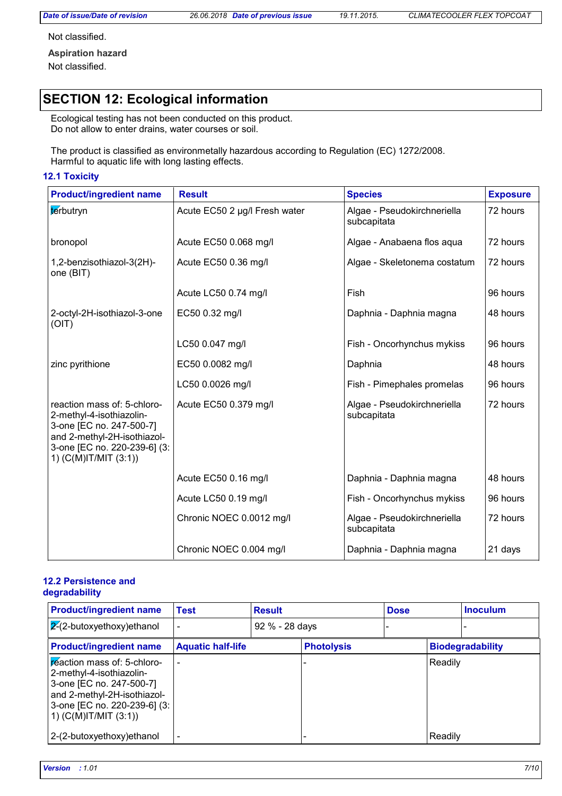Not classified.

**Aspiration hazard** Not classified.

### **SECTION 12: Ecological information**

Ecological testing has not been conducted on this product. Do not allow to enter drains, water courses or soil.

The product is classified as environmetally hazardous according to Regulation (EC) 1272/2008. Harmful to aquatic life with long lasting effects.

#### **12.1 Toxicity**

| <b>Product/ingredient name</b>                                                                                                                                              | <b>Result</b>                 | <b>Species</b>                             | <b>Exposure</b> |
|-----------------------------------------------------------------------------------------------------------------------------------------------------------------------------|-------------------------------|--------------------------------------------|-----------------|
| terbutryn                                                                                                                                                                   | Acute EC50 2 µg/l Fresh water | Algae - Pseudokirchneriella<br>subcapitata | 72 hours        |
| bronopol                                                                                                                                                                    | Acute EC50 0.068 mg/l         | Algae - Anabaena flos aqua                 | 72 hours        |
| 1,2-benzisothiazol-3(2H)-<br>one (BIT)                                                                                                                                      | Acute EC50 0.36 mg/l          | Algae - Skeletonema costatum               | 72 hours        |
|                                                                                                                                                                             | Acute LC50 0.74 mg/l          | Fish                                       | 96 hours        |
| 2-octyl-2H-isothiazol-3-one<br>(OIT)                                                                                                                                        | EC50 0.32 mg/l                | Daphnia - Daphnia magna                    | 48 hours        |
|                                                                                                                                                                             | LC50 0.047 mg/l               | Fish - Oncorhynchus mykiss                 | 96 hours        |
| zinc pyrithione                                                                                                                                                             | EC50 0.0082 mg/l              | Daphnia                                    | 48 hours        |
|                                                                                                                                                                             | LC50 0.0026 mg/l              | Fish - Pimephales promelas                 | 96 hours        |
| reaction mass of: 5-chloro-<br>2-methyl-4-isothiazolin-<br>3-one [EC no. 247-500-7]<br>and 2-methyl-2H-isothiazol-<br>3-one [EC no. 220-239-6] (3:<br>1) (C(M)IT/MIT (3:1)) | Acute EC50 0.379 mg/l         | Algae - Pseudokirchneriella<br>subcapitata | 72 hours        |
|                                                                                                                                                                             | Acute EC50 0.16 mg/l          | Daphnia - Daphnia magna                    | 48 hours        |
|                                                                                                                                                                             | Acute LC50 0.19 mg/l          | Fish - Oncorhynchus mykiss                 | 96 hours        |
|                                                                                                                                                                             | Chronic NOEC 0.0012 mg/l      | Algae - Pseudokirchneriella<br>subcapitata | 72 hours        |
|                                                                                                                                                                             | Chronic NOEC 0.004 mg/l       | Daphnia - Daphnia magna                    | 21 days         |

#### **12.2 Persistence and degradability**

| <b>Product/ingredient name</b>                                                                                                                                                  | Test                     | <b>Result</b>  |                   | <b>Dose</b> |         | <b>Inoculum</b>         |
|---------------------------------------------------------------------------------------------------------------------------------------------------------------------------------|--------------------------|----------------|-------------------|-------------|---------|-------------------------|
| $ 2(2-butoxyethoxy)$ ethanol                                                                                                                                                    |                          | 92 % - 28 days |                   |             |         |                         |
| <b>Product/ingredient name</b>                                                                                                                                                  | <b>Aquatic half-life</b> |                | <b>Photolysis</b> |             |         | <b>Biodegradability</b> |
| peaction mass of: 5-chloro-<br>2-methyl-4-isothiazolin-<br>3-one [EC no. 247-500-7]<br>and 2-methyl-2H-isothiazol-<br>3-one [EC no. 220-239-6] (3:<br>1) $(C(M)$ IT/MIT $(3:1)$ |                          |                |                   |             | Readily |                         |
| 2-(2-butoxyethoxy) ethanol                                                                                                                                                      |                          |                |                   |             | Readily |                         |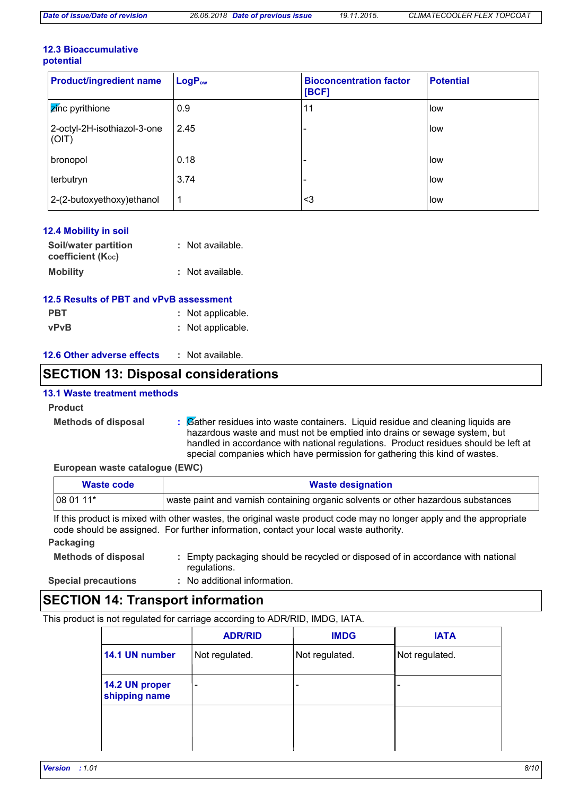#### **12.3 Bioaccumulative potential**

| <b>Product/ingredient name</b>       | $LogP_{ow}$ | <b>Bioconcentration factor</b><br>[BCF] | <b>Potential</b> |
|--------------------------------------|-------------|-----------------------------------------|------------------|
| <b>Z</b> inc pyrithione              | 0.9         | 11                                      | low              |
| 2-octyl-2H-isothiazol-3-one<br>(OIT) | 2.45        | $\overline{\phantom{0}}$                | low              |
| bronopol                             | 0.18        | -                                       | low              |
| terbutryn                            | 3.74        | -                                       | low              |
| 2-(2-butoxyethoxy) ethanol           | 1           | <3                                      | low              |

| <b>12.4 Mobility in soil</b>              |                  |
|-------------------------------------------|------------------|
| Soil/water partition<br>coefficient (Koc) | : Not available. |
| <b>Mobility</b>                           | : Not available. |

### **12.5 Results of PBT and vPvB assessment**

| <b>PBT</b>  | : Not applicable. |
|-------------|-------------------|
| <b>vPvB</b> | : Not applicable. |

#### **12.6 Other adverse effects :**

### **SECTION 13: Disposal considerations**

#### **13.1 Waste treatment methods**

#### **Product**

**Methods of disposal :**

Gather residues into waste containers. Liquid residue and cleaning liquids are hazardous waste and must not be emptied into drains or sewage system, but handled in accordance with national regulations. Product residues should be left at special companies which have permission for gathering this kind of wastes.

#### **European waste catalogue (EWC)**

| Waste code | <b>Waste designation</b>                                                          |
|------------|-----------------------------------------------------------------------------------|
| $1080111*$ | waste paint and varnish containing organic solvents or other hazardous substances |

If this product is mixed with other wastes, the original waste product code may no longer apply and the appropriate code should be assigned. For further information, contact your local waste authority.

### **Packaging**

| <b>Methods of disposal</b> | : Empty packaging should be recycled or disposed of in accordance with national |
|----------------------------|---------------------------------------------------------------------------------|
|                            | regulations.                                                                    |

**Special precautions :**

No additional information.

### **SECTION 14: Transport information**

This product is not regulated for carriage according to ADR/RID, IMDG, IATA.

|                                 | <b>ADR/RID</b>               | <b>IMDG</b>                  | <b>IATA</b>    |
|---------------------------------|------------------------------|------------------------------|----------------|
| 14.1 UN number                  | Not regulated.               | Not regulated.               | Not regulated. |
| 14.2 UN proper<br>shipping name | $\qquad \qquad \blacksquare$ | $\qquad \qquad \blacksquare$ |                |
|                                 |                              |                              |                |
|                                 |                              |                              |                |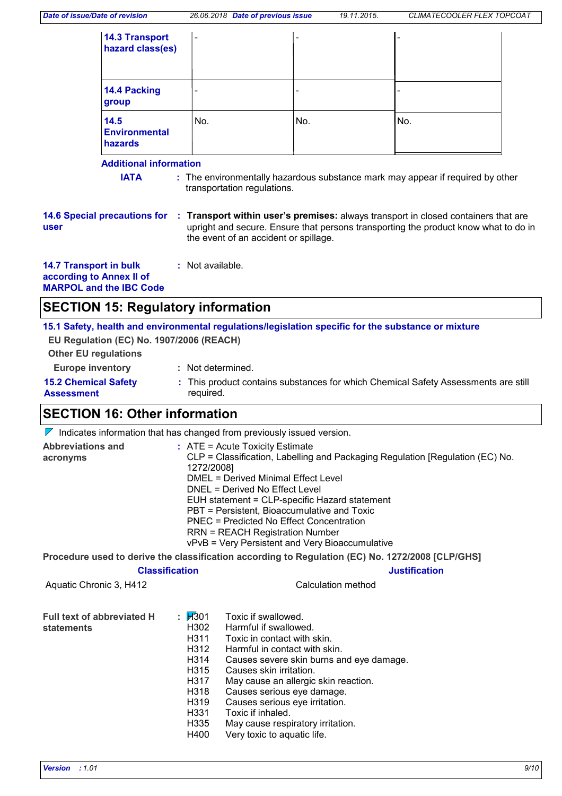| <b>14.3 Transport</b><br>hazard class(es) | $\overline{\phantom{a}}$ | $\overline{\phantom{0}}$ | $\overline{\phantom{0}}$ |
|-------------------------------------------|--------------------------|--------------------------|--------------------------|
| 14.4 Packing<br>group                     | $\overline{\phantom{0}}$ | $\overline{\phantom{a}}$ |                          |
| 14.5<br><b>Environmental</b><br>hazards   | No.                      | No.                      | No.                      |

### **Additional information**

**IATA** : The environmentally hazardous substance mark may appear if required by other transportation regulations.

**14.6 Special precautions for user**

**Transport within user's premises:** always transport in closed containers that are **:** upright and secure. Ensure that persons transporting the product know what to do in the event of an accident or spillage.

**14.7 Transport in bulk according to Annex II of MARPOL and the IBC Code :** Not available.

### **SECTION 15: Regulatory information**

**15.1 Safety, health and environmental regulations/legislation specific for the substance or mixture EU Regulation (EC) No. 1907/2006 (REACH)**

**Other EU regulations**

- **Europe inventory :** Not determined.
- **15.2 Chemical Safety Assessment**
- 
- This product contains substances for which Chemical Safety Assessments are still **:** required.

### **SECTION 16: Other information**

 $\nabla$  Indicates information that has changed from previously issued version.

| Abbreviations and<br>acronyms                   |                                                                                                               | $:$ ATE = Acute Toxicity Estimate<br>CLP = Classification, Labelling and Packaging Regulation [Regulation (EC) No.<br>1272/2008]<br><b>DMEL = Derived Minimal Effect Level</b><br>DNEL = Derived No Effect Level<br>EUH statement = CLP-specific Hazard statement<br>PBT = Persistent, Bioaccumulative and Toxic<br>PNEC = Predicted No Effect Concentration<br><b>RRN = REACH Registration Number</b><br>vPvB = Very Persistent and Very Bioaccumulative |  |  |  |
|-------------------------------------------------|---------------------------------------------------------------------------------------------------------------|-----------------------------------------------------------------------------------------------------------------------------------------------------------------------------------------------------------------------------------------------------------------------------------------------------------------------------------------------------------------------------------------------------------------------------------------------------------|--|--|--|
|                                                 |                                                                                                               | Procedure used to derive the classification according to Regulation (EC) No. 1272/2008 [CLP/GHS]                                                                                                                                                                                                                                                                                                                                                          |  |  |  |
| <b>Classification</b>                           |                                                                                                               | <b>Justification</b>                                                                                                                                                                                                                                                                                                                                                                                                                                      |  |  |  |
| Aquatic Chronic 3, H412                         |                                                                                                               | Calculation method                                                                                                                                                                                                                                                                                                                                                                                                                                        |  |  |  |
| <b>Full text of abbreviated H</b><br>statements | : $1/301$<br>H302<br>H311<br>H312<br>H314<br>H315<br>H317<br>H318<br>H319<br>H331<br>H <sub>335</sub><br>H400 | Toxic if swallowed.<br>Harmful if swallowed.<br>Toxic in contact with skin.<br>Harmful in contact with skin.<br>Causes severe skin burns and eye damage.<br>Causes skin irritation.<br>May cause an allergic skin reaction.<br>Causes serious eye damage.<br>Causes serious eye irritation.<br>Toxic if inhaled.<br>May cause respiratory irritation.<br>Very toxic to aquatic life.                                                                      |  |  |  |